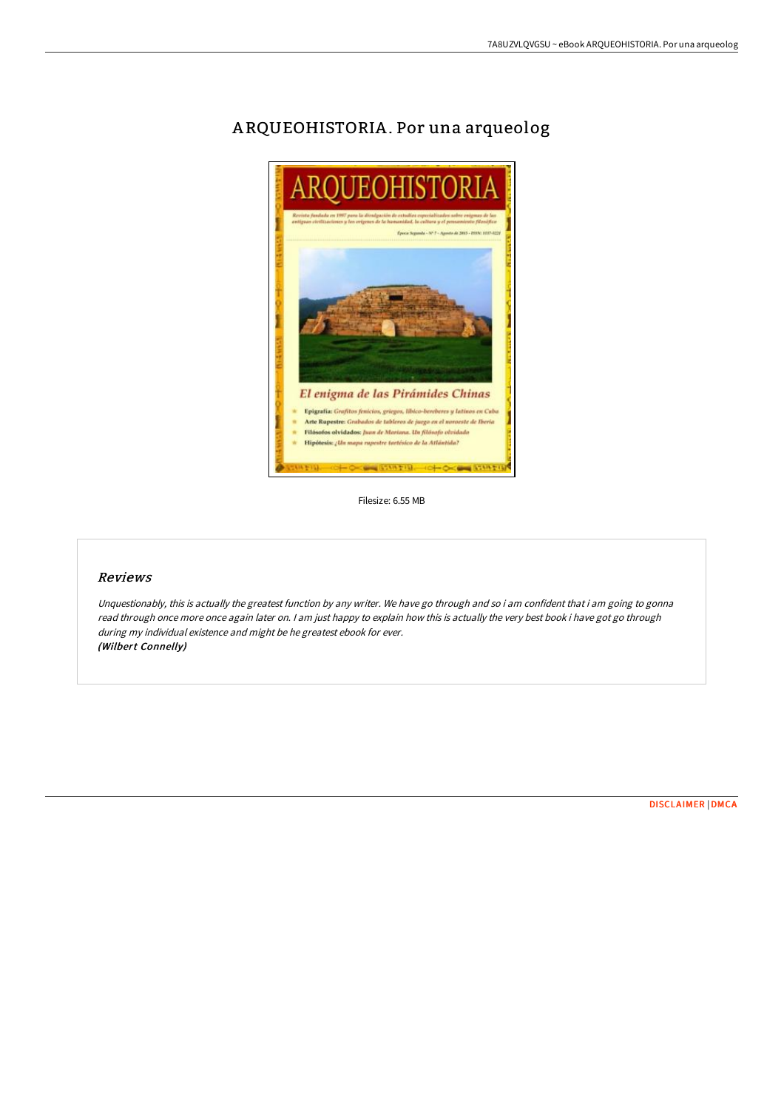# El enigma de las Pirámides Chinas **Epigrafía:** Grafitos fenicios, griegos, libico-bereberes y latinos en Caba<br>Arte Rupestre: Grabados de tableros de juego en el noroeste de Iberia Filósofos olvidados: Juan de Mariana. Un filósofo olvidado Hipótesis: ¿Un mapa rupestre tartésico de la Atlântida? **U. OF OCHA DOUGLASS OF OCHA SOME**

## A RQUEOHISTORIA .Por una arqueolog

Filesize: 6.55 MB

## Reviews

Unquestionably, this is actually the greatest function by any writer. We have go through and so i am confident that i am going to gonna read through once more once again later on. I am just happy to explain how this is actually the very best book i have got go through during my individual existence and might be he greatest ebook for ever. (Wilbert Connelly)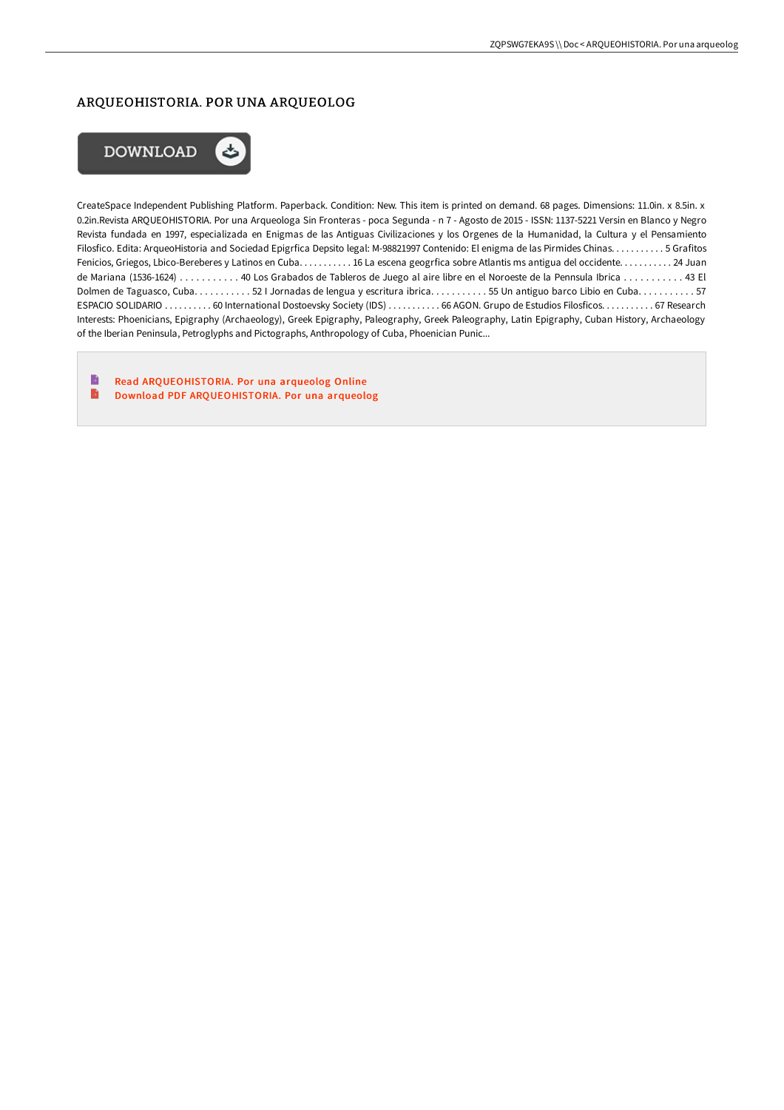#### ARQUEOHISTORIA. POR UNA ARQUEOLOG



CreateSpace Independent Publishing Platform. Paperback. Condition: New. This item is printed on demand. 68 pages. Dimensions: 11.0in. x 8.5in. x 0.2in.Revista ARQUEOHISTORIA. Por una Arqueologa Sin Fronteras - poca Segunda - n 7 - Agosto de 2015 - ISSN: 1137-5221 Versin en Blanco y Negro Revista fundada en 1997, especializada en Enigmas de las Antiguas Civilizaciones y los Orgenes de la Humanidad, la Cultura y el Pensamiento Filosfico. Edita: ArqueoHistoria and Sociedad Epigrfica Depsito legal: M-98821997 Contenido: El enigma de las Pirmides Chinas. . . . . . . . . . . 5 Grafitos Fenicios, Griegos, Lbico-Bereberes y Latinos en Cuba. . . . . . . . . . 16 La escena geogrfica sobre Atlantis ms antigua del occidente. . . . . . . . . . . . 24 Juan de Mariana (1536-1624) . . . . . . . . . . . 40 Los Grabados de Tableros de Juego al aire libre en el Noroeste de la Pennsula Ibrica . . . . . . . . . . . 43 El Dolmen de Taguasco, Cuba. . . . . . . . . . 52 I Jornadas de lengua y escritura ibrica. . . . . . . . . . 55 Un antiguo barco Libio en Cuba. . . . . . . . . . . 57 ESPACIO SOLIDARIO . . . . . . . . . . 60 International Dostoevsky Society (IDS) . . . . . . . . . . . 66 AGON. Grupo de Estudios Filosficos. . . . . . . . . . . 67 Research Interests: Phoenicians, Epigraphy (Archaeology), Greek Epigraphy, Paleography, Greek Paleography, Latin Epigraphy, Cuban History, Archaeology of the Iberian Peninsula, Petroglyphs and Pictographs, Anthropology of Cuba, Phoenician Punic...

B Read [ARQUEOHISTORIA.](http://techno-pub.tech/arqueohistoria-por-una-arqueolog.html) Por una arqueolog Online  $\rightarrow$ Download PDF [ARQUEOHISTORIA.](http://techno-pub.tech/arqueohistoria-por-una-arqueolog.html) Por una arqueolog